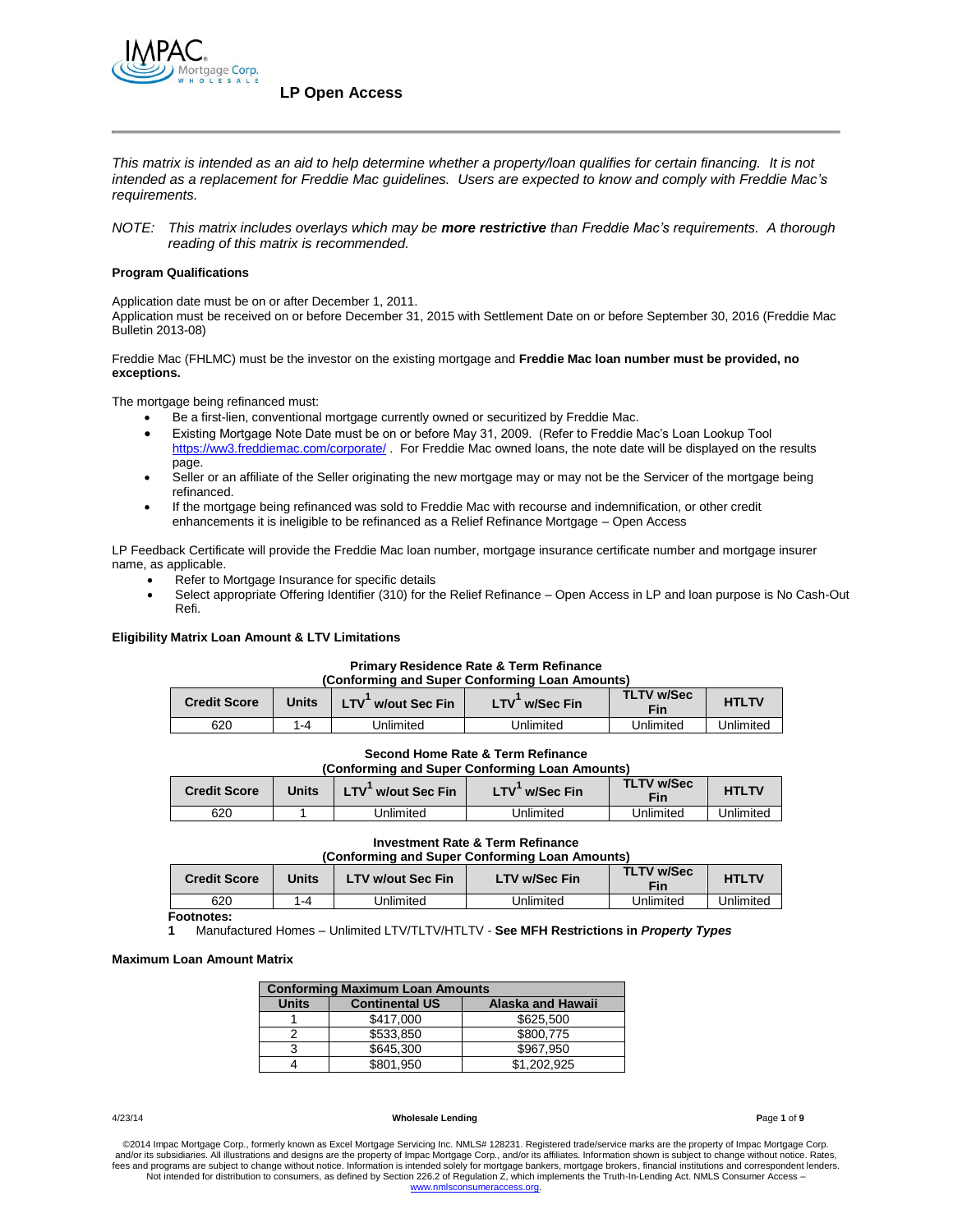

*This matrix is intended as an aid to help determine whether a property/loan qualifies for certain financing. It is not intended as a replacement for Freddie Mac guidelines. Users are expected to know and comply with Freddie Mac's requirements.*

*NOTE: This matrix includes overlays which may be more restrictive than Freddie Mac's requirements. A thorough reading of this matrix is recommended.*

## **Program Qualifications**

Application date must be on or after December 1, 2011. Application must be received on or before December 31, 2015 with Settlement Date on or before September 30, 2016 (Freddie Mac Bulletin 2013-08)

Freddie Mac (FHLMC) must be the investor on the existing mortgage and **Freddie Mac loan number must be provided, no exceptions.**

The mortgage being refinanced must:

- Be a first-lien, conventional mortgage currently owned or securitized by Freddie Mac.
- Existing Mortgage Note Date must be on or before May 31, 2009. (Refer to Freddie Mac's Loan Lookup Tool <https://ww3.freddiemac.com/corporate/> . For Freddie Mac owned loans, the note date will be displayed on the results page.
- Seller or an affiliate of the Seller originating the new mortgage may or may not be the Servicer of the mortgage being refinanced.
- If the mortgage being refinanced was sold to Freddie Mac with recourse and indemnification, or other credit enhancements it is ineligible to be refinanced as a Relief Refinance Mortgage – Open Access

LP Feedback Certificate will provide the Freddie Mac loan number, mortgage insurance certificate number and mortgage insurer name, as applicable.

- Refer to Mortgage Insurance for specific details
- Select appropriate Offering Identifier (310) for the Relief Refinance Open Access in LP and loan purpose is No Cash-Out Refi.

### **Eligibility Matrix Loan Amount & LTV Limitations**

#### **Primary Residence Rate & Term Refinance (Conforming and Super Conforming Loan Amounts)**

| <b>Credit Score</b> | Units | w/out Sec Fin | w/Sec Fin<br>_TV | <b>TLTV w/Sec</b><br><b>Fin</b> | <b>HTLTV</b> |
|---------------------|-------|---------------|------------------|---------------------------------|--------------|
| 620                 | 1-4   | Jnlimited     | Jnlimited        | Jnlimited                       | Jnlimited    |

#### **Second Home Rate & Term Refinance (Conforming and Super Conforming Loan Amounts)**

| (Comorming and Super Comorming Loan Amounts) |       |                   |                         |                   |              |
|----------------------------------------------|-------|-------------------|-------------------------|-------------------|--------------|
| <b>Credit Score</b>                          | Units | LTV w/out Sec Fin | w/Sec Fin<br><b>LTV</b> | TLTV w/Sec<br>Fin | <b>HTLTV</b> |
| 620                                          |       | Jnlimited         | Unlimited               | Jnlimited         | Unlimited    |

## **Investment Rate & Term Refinance**

| (Conforming and Super Conforming Loan Amounts)                                                               |         |           |           |              |           |
|--------------------------------------------------------------------------------------------------------------|---------|-----------|-----------|--------------|-----------|
| <b>TLTV w/Sec</b><br><b>LTV w/Sec Fin</b><br><b>LTV w/out Sec Fin</b><br><b>Credit Score</b><br>Units<br>Fin |         |           |           | <b>HTLTV</b> |           |
| 620                                                                                                          | $1 - 4$ | Jnlimited | Jnlimited | Unlimited    | Unlimited |

**Footnotes:**

**1** Manufactured Homes – Unlimited LTV/TLTV/HTLTV - **See MFH Restrictions in** *Property Types*

### **Maximum Loan Amount Matrix**

| <b>Conforming Maximum Loan Amounts</b> |                       |                   |  |
|----------------------------------------|-----------------------|-------------------|--|
| <b>Units</b>                           | <b>Continental US</b> | Alaska and Hawaii |  |
|                                        | \$417,000             | \$625,500         |  |
|                                        | \$533.850             | \$800.775         |  |
|                                        | \$645,300             | \$967.950         |  |
|                                        | \$801,950             | \$1,202,925       |  |

#### 4/23/14 **Wholesale Lending P**age **1** of **9**

©2014 Impac Mortgage Corp., formerly known as Excel Mortgage Servicing Inc. NMLS# 128231. Registered trade/service marks are the property of Impac Mortgage Corp.<br>and/or its subsidiaries. All illustrations and designs are t fees and programs are subject to change without notice. Information is intended solely for mortgage bankers, mortgage brokers, financial institutions and correspondent lenders. Not intended for distribution to consumers, as defined by Section 226.2 of Regulation Z, which implements the Truth-In-Lending Act. NMLS Consumer Access – [www.nmlsconsumeraccess.org.](http://www.nmlsconsumeraccess.org/)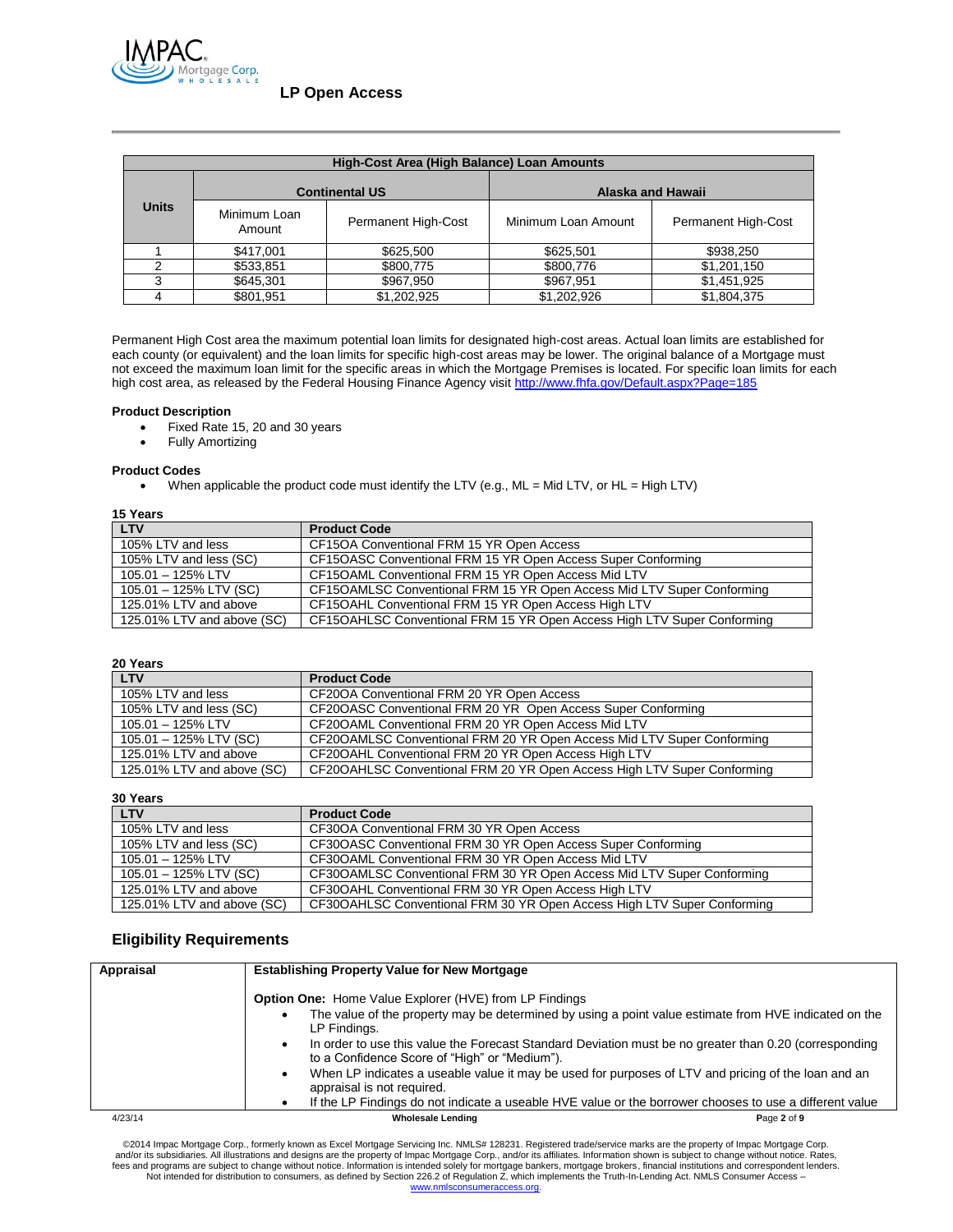

| High-Cost Area (High Balance) Loan Amounts |                        |                            |                     |                            |  |
|--------------------------------------------|------------------------|----------------------------|---------------------|----------------------------|--|
|                                            | <b>Continental US</b>  |                            | Alaska and Hawaii   |                            |  |
| <b>Units</b>                               | Minimum Loan<br>Amount | <b>Permanent High-Cost</b> | Minimum Loan Amount | <b>Permanent High-Cost</b> |  |
|                                            | \$417,001              | \$625,500                  | \$625,501           | \$938,250                  |  |
| っ                                          | \$533,851              | \$800,775                  | \$800,776           | \$1,201,150                |  |
|                                            | \$645,301              | \$967,950                  | \$967,951           | \$1,451,925                |  |
|                                            | \$801,951              | \$1,202,925                | \$1,202,926         | \$1,804,375                |  |

Permanent High Cost area the maximum potential loan limits for designated high-cost areas. Actual loan limits are established for each county (or equivalent) and the loan limits for specific high-cost areas may be lower. The original balance of a Mortgage must not exceed the maximum loan limit for the specific areas in which the Mortgage Premises is located. For specific loan limits for each high cost area, as released by the Federal Housing Finance Agency visit<http://www.fhfa.gov/Default.aspx?Page=185>

## **Product Description**

- Fixed Rate 15, 20 and 30 years
- Fully Amortizing

## **Product Codes**

When applicable the product code must identify the LTV (e.g., ML = Mid LTV, or HL = High LTV)

# **15 Years**

| <b>LTV</b>                 | <b>Product Code</b>                                                     |
|----------------------------|-------------------------------------------------------------------------|
| 105% LTV and less          | CF15OA Conventional FRM 15 YR Open Access                               |
| 105% LTV and less (SC)     | CF15OASC Conventional FRM 15 YR Open Access Super Conforming            |
| 105.01 - 125% LTV          | CF15OAML Conventional FRM 15 YR Open Access Mid LTV                     |
| 105.01 - 125% LTV (SC)     | CF15OAMLSC Conventional FRM 15 YR Open Access Mid LTV Super Conforming  |
| 125.01% LTV and above      | CF15OAHL Conventional FRM 15 YR Open Access High LTV                    |
| 125.01% LTV and above (SC) | CF15OAHLSC Conventional FRM 15 YR Open Access High LTV Super Conforming |

### **20 Years**

| <b>LTV</b>                 | <b>Product Code</b>                                                     |
|----------------------------|-------------------------------------------------------------------------|
| 105% LTV and less          | CF20OA Conventional FRM 20 YR Open Access                               |
| 105% LTV and less (SC)     | CF20OASC Conventional FRM 20 YR Open Access Super Conforming            |
| 105.01 - 125% LTV          | CF20OAML Conventional FRM 20 YR Open Access Mid LTV                     |
| 105.01 - 125% LTV (SC)     | CF20OAMLSC Conventional FRM 20 YR Open Access Mid LTV Super Conforming  |
| 125.01% LTV and above      | CF20OAHL Conventional FRM 20 YR Open Access High LTV                    |
| 125.01% LTV and above (SC) | CF20OAHLSC Conventional FRM 20 YR Open Access High LTV Super Conforming |

**30 Years**

| JV IGGIJ                   |                                                                         |
|----------------------------|-------------------------------------------------------------------------|
| <b>LTV</b>                 | <b>Product Code</b>                                                     |
| 105% LTV and less          | CF30OA Conventional FRM 30 YR Open Access                               |
| 105% LTV and less (SC)     | CF30OASC Conventional FRM 30 YR Open Access Super Conforming            |
| 105.01 - 125% LTV          | CF30OAML Conventional FRM 30 YR Open Access Mid LTV                     |
| $105.01 - 125\%$ LTV (SC)  | CF30OAMLSC Conventional FRM 30 YR Open Access Mid LTV Super Conforming  |
| 125.01% LTV and above      | CF30OAHL Conventional FRM 30 YR Open Access High LTV                    |
| 125.01% LTV and above (SC) | CF30OAHLSC Conventional FRM 30 YR Open Access High LTV Super Conforming |

## **Eligibility Requirements**

| Appraisal | <b>Establishing Property Value for New Mortgage</b>                                                                                                          |             |
|-----------|--------------------------------------------------------------------------------------------------------------------------------------------------------------|-------------|
|           | <b>Option One:</b> Home Value Explorer (HVE) from LP Findings                                                                                                |             |
|           | The value of the property may be determined by using a point value estimate from HVE indicated on the<br>LP Findings.                                        |             |
|           | In order to use this value the Forecast Standard Deviation must be no greater than 0.20 (corresponding<br>٠<br>to a Confidence Score of "High" or "Medium"). |             |
|           | When LP indicates a useable value it may be used for purposes of LTV and pricing of the loan and an<br>٠<br>appraisal is not required.                       |             |
|           | If the LP Findings do not indicate a useable HVE value or the borrower chooses to use a different value                                                      |             |
| 4/23/14   | <b>Wholesale Lending</b>                                                                                                                                     | Page 2 of 9 |

©2014 Impac Mortgage Corp., formerly known as Excel Mortgage Servicing Inc. NMLS# 128231. Registered trade/service marks are the property of Impac Mortgage Corp.<br>The and/or its subsidiaries. All illustrations and designs Not intended for distribution to consumers, as defined by Section 226.2 of Regulation Z, which implements the Truth-In-Lending Act. NMLS Consumer Access – [www.nmlsconsumeraccess.org.](http://www.nmlsconsumeraccess.org/)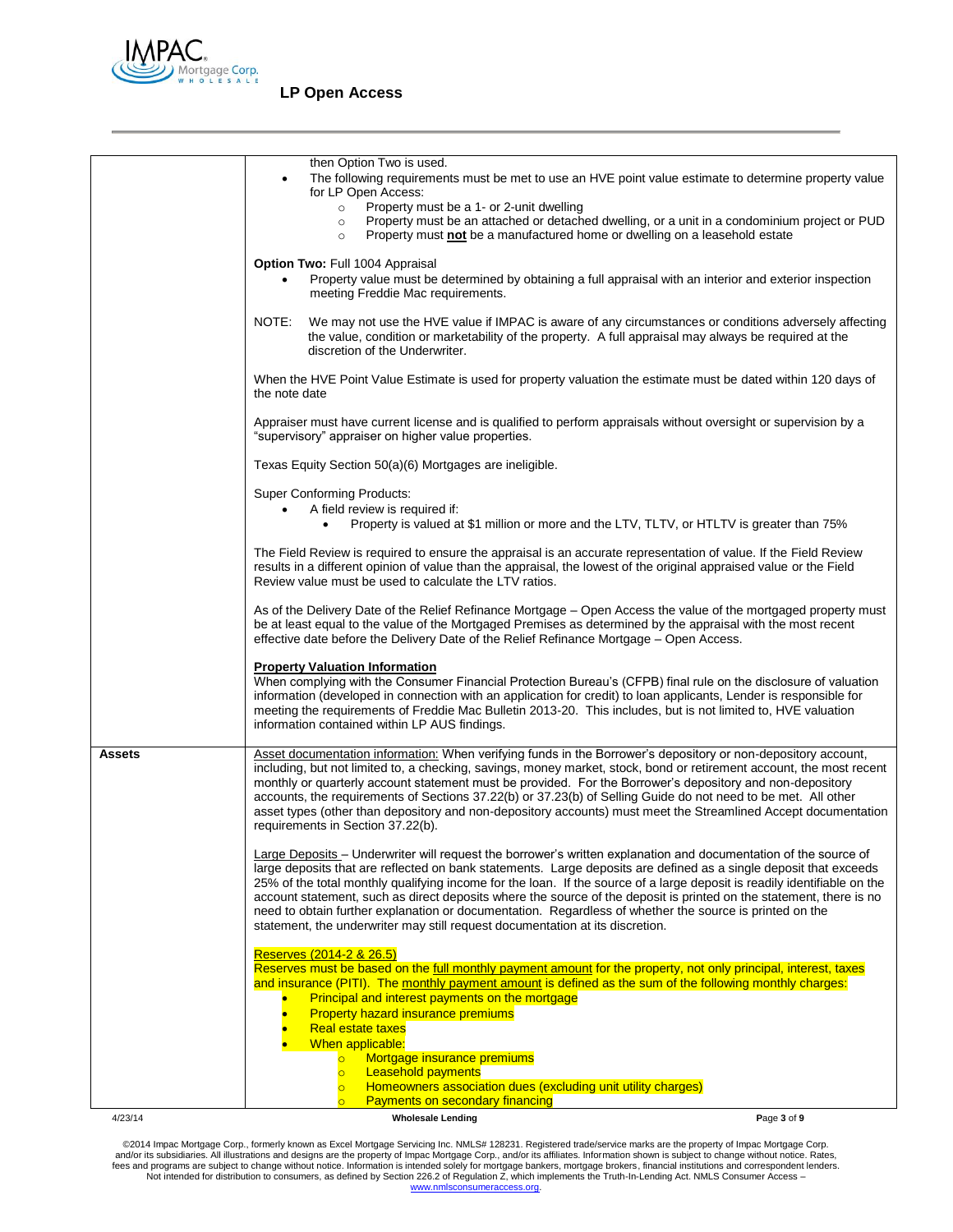

# **LP Open Access**

|         | then Option Two is used.<br>The following requirements must be met to use an HVE point value estimate to determine property value<br>$\bullet$<br>for LP Open Access:<br>Property must be a 1- or 2-unit dwelling<br>$\circ$<br>Property must be an attached or detached dwelling, or a unit in a condominium project or PUD<br>$\circ$<br>Property must not be a manufactured home or dwelling on a leasehold estate<br>$\circ$                                                                                                                                                                                                                                                    |  |
|---------|-------------------------------------------------------------------------------------------------------------------------------------------------------------------------------------------------------------------------------------------------------------------------------------------------------------------------------------------------------------------------------------------------------------------------------------------------------------------------------------------------------------------------------------------------------------------------------------------------------------------------------------------------------------------------------------|--|
|         | Option Two: Full 1004 Appraisal<br>Property value must be determined by obtaining a full appraisal with an interior and exterior inspection<br>meeting Freddie Mac requirements.                                                                                                                                                                                                                                                                                                                                                                                                                                                                                                    |  |
|         | NOTE:<br>We may not use the HVE value if IMPAC is aware of any circumstances or conditions adversely affecting<br>the value, condition or marketability of the property. A full appraisal may always be required at the<br>discretion of the Underwriter.                                                                                                                                                                                                                                                                                                                                                                                                                           |  |
|         | When the HVE Point Value Estimate is used for property valuation the estimate must be dated within 120 days of<br>the note date                                                                                                                                                                                                                                                                                                                                                                                                                                                                                                                                                     |  |
|         | Appraiser must have current license and is qualified to perform appraisals without oversight or supervision by a<br>"supervisory" appraiser on higher value properties.                                                                                                                                                                                                                                                                                                                                                                                                                                                                                                             |  |
|         | Texas Equity Section 50(a)(6) Mortgages are ineligible.                                                                                                                                                                                                                                                                                                                                                                                                                                                                                                                                                                                                                             |  |
|         | <b>Super Conforming Products:</b><br>A field review is required if:                                                                                                                                                                                                                                                                                                                                                                                                                                                                                                                                                                                                                 |  |
|         | Property is valued at \$1 million or more and the LTV, TLTV, or HTLTV is greater than 75%<br>$\bullet$                                                                                                                                                                                                                                                                                                                                                                                                                                                                                                                                                                              |  |
|         | The Field Review is required to ensure the appraisal is an accurate representation of value. If the Field Review<br>results in a different opinion of value than the appraisal, the lowest of the original appraised value or the Field<br>Review value must be used to calculate the LTV ratios.                                                                                                                                                                                                                                                                                                                                                                                   |  |
|         | As of the Delivery Date of the Relief Refinance Mortgage – Open Access the value of the mortgaged property must<br>be at least equal to the value of the Mortgaged Premises as determined by the appraisal with the most recent<br>effective date before the Delivery Date of the Relief Refinance Mortgage – Open Access.                                                                                                                                                                                                                                                                                                                                                          |  |
|         | <b>Property Valuation Information</b><br>When complying with the Consumer Financial Protection Bureau's (CFPB) final rule on the disclosure of valuation<br>information (developed in connection with an application for credit) to loan applicants, Lender is responsible for<br>meeting the requirements of Freddie Mac Bulletin 2013-20. This includes, but is not limited to, HVE valuation<br>information contained within LP AUS findings.                                                                                                                                                                                                                                    |  |
| Assets  | Asset documentation information: When verifying funds in the Borrower's depository or non-depository account,<br>including, but not limited to, a checking, savings, money market, stock, bond or retirement account, the most recent<br>monthly or quarterly account statement must be provided. For the Borrower's depository and non-depository<br>accounts, the requirements of Sections 37.22(b) or 37.23(b) of Selling Guide do not need to be met. All other<br>asset types (other than depository and non-depository accounts) must meet the Streamlined Accept documentation<br>requirements in Section 37.22(b).                                                          |  |
|         | Large Deposits – Underwriter will request the borrower's written explanation and documentation of the source of<br>large deposits that are reflected on bank statements. Large deposits are defined as a single deposit that exceeds<br>25% of the total monthly qualifying income for the loan. If the source of a large deposit is readily identifiable on the<br>account statement, such as direct deposits where the source of the deposit is printed on the statement, there is no<br>need to obtain further explanation or documentation. Regardless of whether the source is printed on the<br>statement, the underwriter may still request documentation at its discretion. |  |
|         | Reserves (2014-2 & 26.5)<br>Reserves must be based on the full monthly payment amount for the property, not only principal, interest, taxes<br>and insurance (PITI). The monthly payment amount is defined as the sum of the following monthly charges:<br>Principal and interest payments on the mortgage<br><b>Property hazard insurance premiums</b><br><b>Real estate taxes</b><br>When applicable:                                                                                                                                                                                                                                                                             |  |
|         | Mortgage insurance premiums<br><b>Leasehold payments</b><br>$\overline{\circ}$<br>Homeowners association dues (excluding unit utility charges)<br>$\overline{\circ}$<br>Payments on secondary financing                                                                                                                                                                                                                                                                                                                                                                                                                                                                             |  |
| 4/23/14 | <b>Wholesale Lending</b><br>Page 3 of 9                                                                                                                                                                                                                                                                                                                                                                                                                                                                                                                                                                                                                                             |  |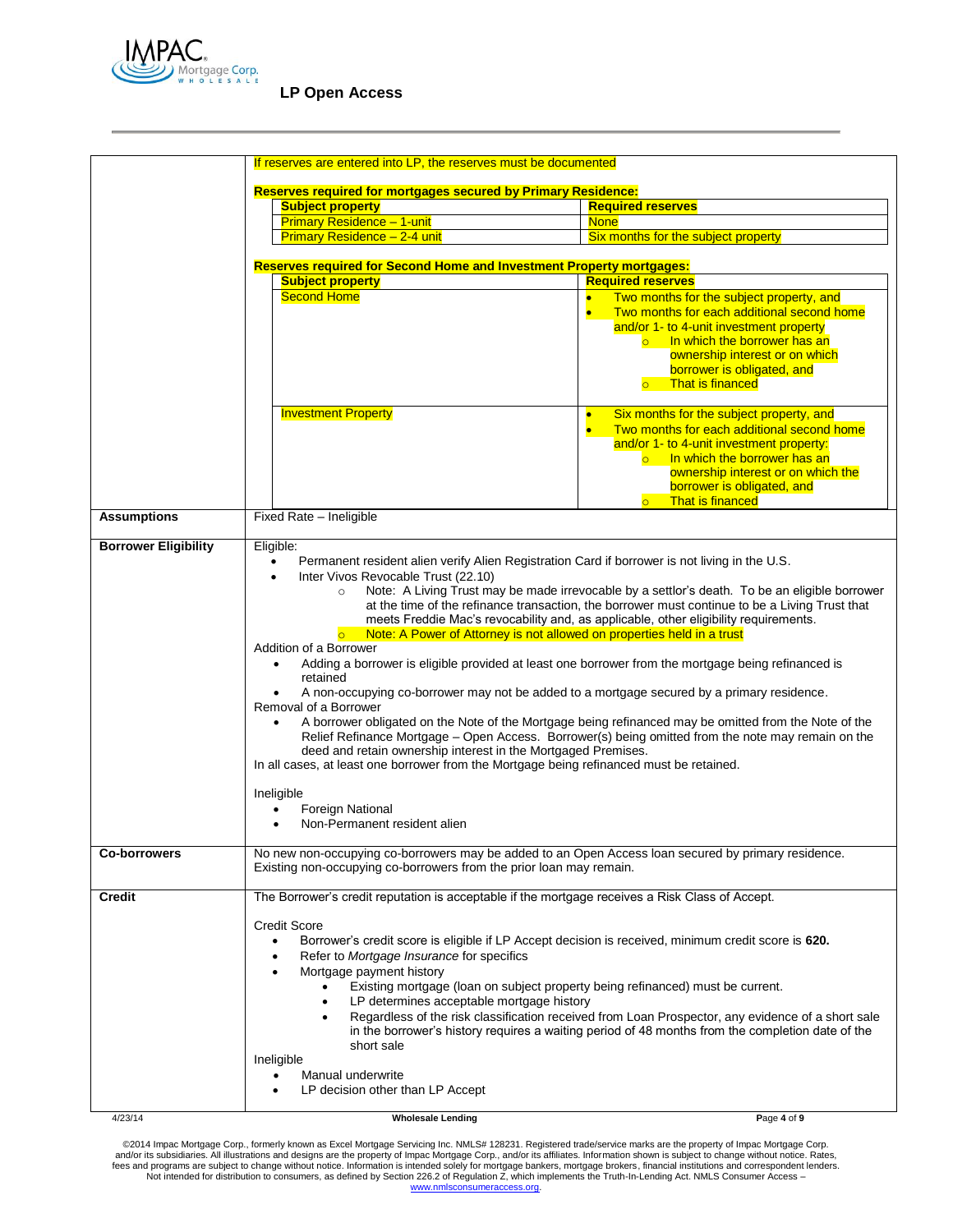

|                             | If reserves are entered into LP, the reserves must be documented                                                                                                                                                                                                                                                                                                                                                                                                                                                                                                                                                                                                                                                                                                                                                                                                                                                                                                                                                                                                                                                                                                                                                                                                                                            |                                                                                                                                                                                                                                                                                                                                  |  |  |  |
|-----------------------------|-------------------------------------------------------------------------------------------------------------------------------------------------------------------------------------------------------------------------------------------------------------------------------------------------------------------------------------------------------------------------------------------------------------------------------------------------------------------------------------------------------------------------------------------------------------------------------------------------------------------------------------------------------------------------------------------------------------------------------------------------------------------------------------------------------------------------------------------------------------------------------------------------------------------------------------------------------------------------------------------------------------------------------------------------------------------------------------------------------------------------------------------------------------------------------------------------------------------------------------------------------------------------------------------------------------|----------------------------------------------------------------------------------------------------------------------------------------------------------------------------------------------------------------------------------------------------------------------------------------------------------------------------------|--|--|--|
|                             |                                                                                                                                                                                                                                                                                                                                                                                                                                                                                                                                                                                                                                                                                                                                                                                                                                                                                                                                                                                                                                                                                                                                                                                                                                                                                                             |                                                                                                                                                                                                                                                                                                                                  |  |  |  |
|                             | <b>Reserves required for mortgages secured by Primary Residence:</b>                                                                                                                                                                                                                                                                                                                                                                                                                                                                                                                                                                                                                                                                                                                                                                                                                                                                                                                                                                                                                                                                                                                                                                                                                                        |                                                                                                                                                                                                                                                                                                                                  |  |  |  |
|                             | <b>Subject property</b><br><b>Primary Residence - 1-unit</b>                                                                                                                                                                                                                                                                                                                                                                                                                                                                                                                                                                                                                                                                                                                                                                                                                                                                                                                                                                                                                                                                                                                                                                                                                                                | <b>Required reserves</b><br><b>None</b>                                                                                                                                                                                                                                                                                          |  |  |  |
|                             | Primary Residence - 2-4 unit                                                                                                                                                                                                                                                                                                                                                                                                                                                                                                                                                                                                                                                                                                                                                                                                                                                                                                                                                                                                                                                                                                                                                                                                                                                                                | Six months for the subject property                                                                                                                                                                                                                                                                                              |  |  |  |
|                             |                                                                                                                                                                                                                                                                                                                                                                                                                                                                                                                                                                                                                                                                                                                                                                                                                                                                                                                                                                                                                                                                                                                                                                                                                                                                                                             |                                                                                                                                                                                                                                                                                                                                  |  |  |  |
|                             | <b>Reserves required for Second Home and Investment Property mortgages:</b>                                                                                                                                                                                                                                                                                                                                                                                                                                                                                                                                                                                                                                                                                                                                                                                                                                                                                                                                                                                                                                                                                                                                                                                                                                 |                                                                                                                                                                                                                                                                                                                                  |  |  |  |
|                             | <b>Subject property</b>                                                                                                                                                                                                                                                                                                                                                                                                                                                                                                                                                                                                                                                                                                                                                                                                                                                                                                                                                                                                                                                                                                                                                                                                                                                                                     | <b>Required reserves</b>                                                                                                                                                                                                                                                                                                         |  |  |  |
|                             | <b>Second Home</b>                                                                                                                                                                                                                                                                                                                                                                                                                                                                                                                                                                                                                                                                                                                                                                                                                                                                                                                                                                                                                                                                                                                                                                                                                                                                                          | Two months for the subject property, and<br>$\bullet$<br>Two months for each additional second home<br>and/or 1- to 4-unit investment property<br>In which the borrower has an<br>$\overline{\mathsf{O}}$ . $\overline{\mathsf{O}}$<br>ownership interest or on which<br>borrower is obligated, and<br>o That is financed        |  |  |  |
|                             | <b>Investment Property</b>                                                                                                                                                                                                                                                                                                                                                                                                                                                                                                                                                                                                                                                                                                                                                                                                                                                                                                                                                                                                                                                                                                                                                                                                                                                                                  | Six months for the subject property, and<br>$\bullet$<br>Two months for each additional second home<br>$\bullet$<br>and/or 1- to 4-unit investment property:<br>In which the borrower has an<br>$\overline{\bullet}$ .<br>ownership interest or on which the<br>borrower is obligated, and<br><b>That is financed</b><br>$\circ$ |  |  |  |
| <b>Assumptions</b>          | Fixed Rate - Ineligible                                                                                                                                                                                                                                                                                                                                                                                                                                                                                                                                                                                                                                                                                                                                                                                                                                                                                                                                                                                                                                                                                                                                                                                                                                                                                     |                                                                                                                                                                                                                                                                                                                                  |  |  |  |
| <b>Borrower Eligibility</b> | Eligible:                                                                                                                                                                                                                                                                                                                                                                                                                                                                                                                                                                                                                                                                                                                                                                                                                                                                                                                                                                                                                                                                                                                                                                                                                                                                                                   |                                                                                                                                                                                                                                                                                                                                  |  |  |  |
| <b>Co-borrowers</b>         | Permanent resident alien verify Alien Registration Card if borrower is not living in the U.S.<br>Inter Vivos Revocable Trust (22.10)<br>$\bullet$<br>Note: A Living Trust may be made irrevocable by a settlor's death. To be an eligible borrower<br>$\circ$<br>at the time of the refinance transaction, the borrower must continue to be a Living Trust that<br>meets Freddie Mac's revocability and, as applicable, other eligibility requirements.<br>Note: A Power of Attorney is not allowed on properties held in a trust<br>$\circ$<br>Addition of a Borrower<br>Adding a borrower is eligible provided at least one borrower from the mortgage being refinanced is<br>$\bullet$<br>retained<br>A non-occupying co-borrower may not be added to a mortgage secured by a primary residence.<br>$\bullet$<br>Removal of a Borrower<br>A borrower obligated on the Note of the Mortgage being refinanced may be omitted from the Note of the<br>$\bullet$<br>Relief Refinance Mortgage - Open Access. Borrower(s) being omitted from the note may remain on the<br>deed and retain ownership interest in the Mortgaged Premises.<br>In all cases, at least one borrower from the Mortgage being refinanced must be retained.<br>Ineligible<br><b>Foreign National</b><br>Non-Permanent resident alien |                                                                                                                                                                                                                                                                                                                                  |  |  |  |
|                             | No new non-occupying co-borrowers may be added to an Open Access loan secured by primary residence.<br>Existing non-occupying co-borrowers from the prior loan may remain.                                                                                                                                                                                                                                                                                                                                                                                                                                                                                                                                                                                                                                                                                                                                                                                                                                                                                                                                                                                                                                                                                                                                  |                                                                                                                                                                                                                                                                                                                                  |  |  |  |
| <b>Credit</b>               | The Borrower's credit reputation is acceptable if the mortgage receives a Risk Class of Accept.<br><b>Credit Score</b><br>Borrower's credit score is eligible if LP Accept decision is received, minimum credit score is 620.<br>$\bullet$<br>Refer to Mortgage Insurance for specifics<br>$\bullet$<br>Mortgage payment history<br>$\bullet$<br>Existing mortgage (loan on subject property being refinanced) must be current.<br>LP determines acceptable mortgage history<br>$\bullet$<br>Regardless of the risk classification received from Loan Prospector, any evidence of a short sale<br>$\bullet$<br>in the borrower's history requires a waiting period of 48 months from the completion date of the<br>short sale<br>Ineligible<br>Manual underwrite<br>٠<br>LP decision other than LP Accept                                                                                                                                                                                                                                                                                                                                                                                                                                                                                                   |                                                                                                                                                                                                                                                                                                                                  |  |  |  |
| 4/23/14                     | <b>Wholesale Lending</b>                                                                                                                                                                                                                                                                                                                                                                                                                                                                                                                                                                                                                                                                                                                                                                                                                                                                                                                                                                                                                                                                                                                                                                                                                                                                                    | Page 4 of 9                                                                                                                                                                                                                                                                                                                      |  |  |  |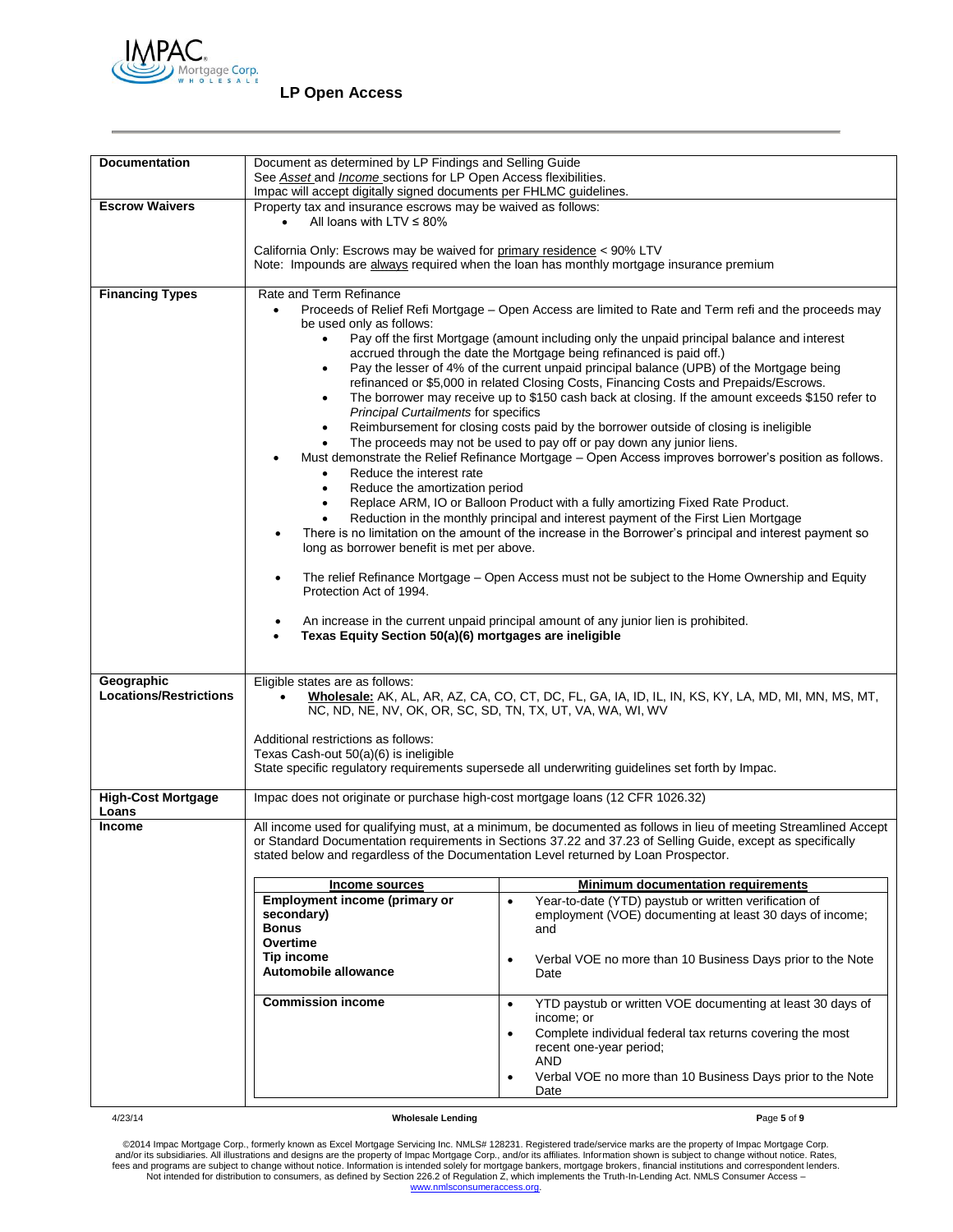

# **LP Open Access**

| <b>Documentation</b>               | Document as determined by LP Findings and Selling Guide                                                                                                                                                                                                                                                                                                                                                                                                                  |                                                                                                                                                                                |  |  |
|------------------------------------|--------------------------------------------------------------------------------------------------------------------------------------------------------------------------------------------------------------------------------------------------------------------------------------------------------------------------------------------------------------------------------------------------------------------------------------------------------------------------|--------------------------------------------------------------------------------------------------------------------------------------------------------------------------------|--|--|
|                                    | See Asset and <i>Income</i> sections for LP Open Access flexibilities.                                                                                                                                                                                                                                                                                                                                                                                                   |                                                                                                                                                                                |  |  |
| <b>Escrow Waivers</b>              | Impac will accept digitally signed documents per FHLMC guidelines.<br>Property tax and insurance escrows may be waived as follows:                                                                                                                                                                                                                                                                                                                                       |                                                                                                                                                                                |  |  |
|                                    | All loans with LTV $\leq$ 80%                                                                                                                                                                                                                                                                                                                                                                                                                                            |                                                                                                                                                                                |  |  |
|                                    | California Only: Escrows may be waived for primary residence < 90% LTV                                                                                                                                                                                                                                                                                                                                                                                                   | Note: Impounds are always required when the loan has monthly mortgage insurance premium                                                                                        |  |  |
| <b>Financing Types</b>             | Rate and Term Refinance<br>Proceeds of Relief Refi Mortgage – Open Access are limited to Rate and Term refi and the proceeds may<br>$\bullet$<br>be used only as follows:                                                                                                                                                                                                                                                                                                |                                                                                                                                                                                |  |  |
|                                    |                                                                                                                                                                                                                                                                                                                                                                                                                                                                          |                                                                                                                                                                                |  |  |
|                                    | Pay off the first Mortgage (amount including only the unpaid principal balance and interest<br>$\bullet$<br>accrued through the date the Mortgage being refinanced is paid off.)<br>Pay the lesser of 4% of the current unpaid principal balance (UPB) of the Mortgage being<br>refinanced or \$5,000 in related Closing Costs, Financing Costs and Prepaids/Escrows.<br>The borrower may receive up to \$150 cash back at closing. If the amount exceeds \$150 refer to |                                                                                                                                                                                |  |  |
|                                    |                                                                                                                                                                                                                                                                                                                                                                                                                                                                          |                                                                                                                                                                                |  |  |
|                                    | <b>Principal Curtailments for specifics</b><br>٠                                                                                                                                                                                                                                                                                                                                                                                                                         | Reimbursement for closing costs paid by the borrower outside of closing is ineligible                                                                                          |  |  |
|                                    | Reduce the interest rate                                                                                                                                                                                                                                                                                                                                                                                                                                                 | The proceeds may not be used to pay off or pay down any junior liens.<br>Must demonstrate the Relief Refinance Mortgage – Open Access improves borrower's position as follows. |  |  |
|                                    | Reduce the amortization period<br>$\bullet$                                                                                                                                                                                                                                                                                                                                                                                                                              | Replace ARM, IO or Balloon Product with a fully amortizing Fixed Rate Product.                                                                                                 |  |  |
|                                    |                                                                                                                                                                                                                                                                                                                                                                                                                                                                          | Reduction in the monthly principal and interest payment of the First Lien Mortgage                                                                                             |  |  |
|                                    | There is no limitation on the amount of the increase in the Borrower's principal and interest payment so<br>$\bullet$<br>long as borrower benefit is met per above.                                                                                                                                                                                                                                                                                                      |                                                                                                                                                                                |  |  |
|                                    | The relief Refinance Mortgage – Open Access must not be subject to the Home Ownership and Equity<br>$\bullet$<br>Protection Act of 1994.                                                                                                                                                                                                                                                                                                                                 |                                                                                                                                                                                |  |  |
|                                    | An increase in the current unpaid principal amount of any junior lien is prohibited.<br>Texas Equity Section 50(a)(6) mortgages are ineligible<br>$\bullet$                                                                                                                                                                                                                                                                                                              |                                                                                                                                                                                |  |  |
|                                    |                                                                                                                                                                                                                                                                                                                                                                                                                                                                          |                                                                                                                                                                                |  |  |
|                                    |                                                                                                                                                                                                                                                                                                                                                                                                                                                                          |                                                                                                                                                                                |  |  |
| Geographic                         | Eligible states are as follows:                                                                                                                                                                                                                                                                                                                                                                                                                                          |                                                                                                                                                                                |  |  |
| <b>Locations/Restrictions</b>      | Wholesale: AK, AL, AR, AZ, CA, CO, CT, DC, FL, GA, IA, ID, IL, IN, KS, KY, LA, MD, MI, MN, MS, MT,<br>NC, ND, NE, NV, OK, OR, SC, SD, TN, TX, UT, VA, WA, WI, WV                                                                                                                                                                                                                                                                                                         |                                                                                                                                                                                |  |  |
|                                    | Additional restrictions as follows:                                                                                                                                                                                                                                                                                                                                                                                                                                      |                                                                                                                                                                                |  |  |
|                                    | Texas Cash-out 50(a)(6) is ineligible                                                                                                                                                                                                                                                                                                                                                                                                                                    |                                                                                                                                                                                |  |  |
|                                    |                                                                                                                                                                                                                                                                                                                                                                                                                                                                          | State specific regulatory requirements supersede all underwriting guidelines set forth by Impac.                                                                               |  |  |
| <b>High-Cost Mortgage</b><br>Loans | Impac does not originate or purchase high-cost mortgage loans (12 CFR 1026.32)                                                                                                                                                                                                                                                                                                                                                                                           |                                                                                                                                                                                |  |  |
| <b>Income</b>                      |                                                                                                                                                                                                                                                                                                                                                                                                                                                                          | All income used for qualifying must, at a minimum, be documented as follows in lieu of meeting Streamlined Accept                                                              |  |  |
|                                    | stated below and regardless of the Documentation Level returned by Loan Prospector.                                                                                                                                                                                                                                                                                                                                                                                      | or Standard Documentation requirements in Sections 37.22 and 37.23 of Selling Guide, except as specifically                                                                    |  |  |
|                                    | <b>Income sources</b>                                                                                                                                                                                                                                                                                                                                                                                                                                                    | <b>Minimum documentation requirements</b>                                                                                                                                      |  |  |
|                                    | <b>Employment income (primary or</b>                                                                                                                                                                                                                                                                                                                                                                                                                                     | Year-to-date (YTD) paystub or written verification of                                                                                                                          |  |  |
|                                    | secondary)                                                                                                                                                                                                                                                                                                                                                                                                                                                               | employment (VOE) documenting at least 30 days of income;                                                                                                                       |  |  |
|                                    | <b>Bonus</b><br>Overtime                                                                                                                                                                                                                                                                                                                                                                                                                                                 | and                                                                                                                                                                            |  |  |
|                                    | <b>Tip income</b>                                                                                                                                                                                                                                                                                                                                                                                                                                                        | Verbal VOE no more than 10 Business Days prior to the Note<br>$\bullet$                                                                                                        |  |  |
|                                    | Automobile allowance                                                                                                                                                                                                                                                                                                                                                                                                                                                     | Date                                                                                                                                                                           |  |  |
|                                    | <b>Commission income</b>                                                                                                                                                                                                                                                                                                                                                                                                                                                 | YTD paystub or written VOE documenting at least 30 days of<br>$\bullet$<br>income; or                                                                                          |  |  |
|                                    |                                                                                                                                                                                                                                                                                                                                                                                                                                                                          | Complete individual federal tax returns covering the most<br>recent one-year period;<br>AND                                                                                    |  |  |
|                                    |                                                                                                                                                                                                                                                                                                                                                                                                                                                                          | Verbal VOE no more than 10 Business Days prior to the Note<br>$\bullet$<br>Date                                                                                                |  |  |
|                                    |                                                                                                                                                                                                                                                                                                                                                                                                                                                                          |                                                                                                                                                                                |  |  |

4/23/14 **Wholesale Lending P**age **5** of **9**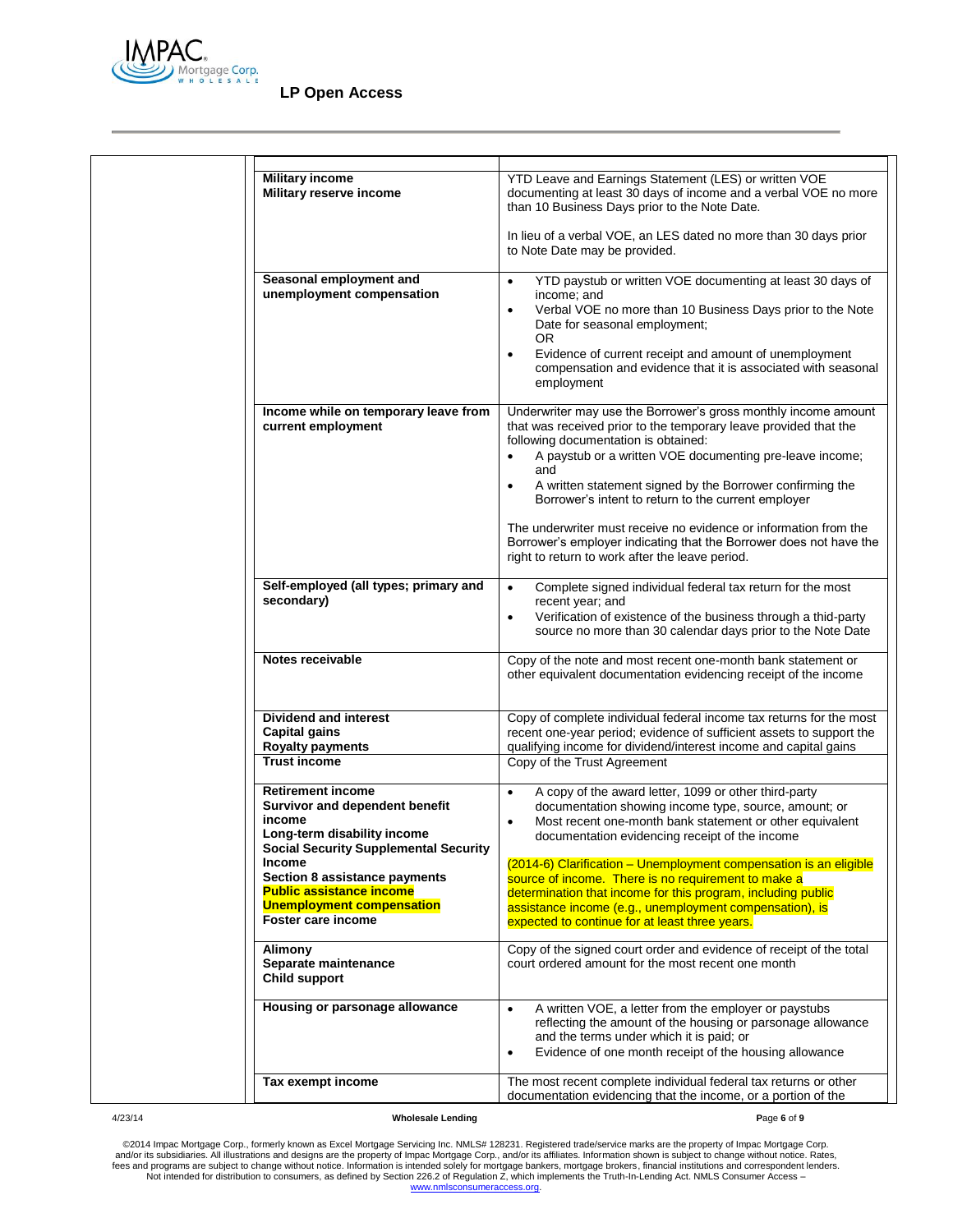

| <b>Military income</b><br>Military reserve income<br>Seasonal employment and<br>unemployment compensation                                                                                                                                                                                   | YTD Leave and Earnings Statement (LES) or written VOE<br>documenting at least 30 days of income and a verbal VOE no more<br>than 10 Business Days prior to the Note Date.<br>In lieu of a verbal VOE, an LES dated no more than 30 days prior<br>to Note Date may be provided.<br>YTD paystub or written VOE documenting at least 30 days of<br>$\bullet$<br>income; and<br>Verbal VOE no more than 10 Business Days prior to the Note<br>$\bullet$<br>Date for seasonal employment;<br>OR.                                                                     |
|---------------------------------------------------------------------------------------------------------------------------------------------------------------------------------------------------------------------------------------------------------------------------------------------|-----------------------------------------------------------------------------------------------------------------------------------------------------------------------------------------------------------------------------------------------------------------------------------------------------------------------------------------------------------------------------------------------------------------------------------------------------------------------------------------------------------------------------------------------------------------|
| Income while on temporary leave from<br>current employment                                                                                                                                                                                                                                  | Evidence of current receipt and amount of unemployment<br>$\bullet$<br>compensation and evidence that it is associated with seasonal<br>employment<br>Underwriter may use the Borrower's gross monthly income amount<br>that was received prior to the temporary leave provided that the<br>following documentation is obtained:                                                                                                                                                                                                                                |
|                                                                                                                                                                                                                                                                                             | A paystub or a written VOE documenting pre-leave income;<br>$\bullet$<br>and<br>A written statement signed by the Borrower confirming the<br>$\bullet$<br>Borrower's intent to return to the current employer<br>The underwriter must receive no evidence or information from the<br>Borrower's employer indicating that the Borrower does not have the<br>right to return to work after the leave period.                                                                                                                                                      |
| Self-employed (all types; primary and<br>secondary)                                                                                                                                                                                                                                         | Complete signed individual federal tax return for the most<br>$\bullet$<br>recent year; and<br>Verification of existence of the business through a thid-party<br>$\bullet$<br>source no more than 30 calendar days prior to the Note Date                                                                                                                                                                                                                                                                                                                       |
| Notes receivable                                                                                                                                                                                                                                                                            | Copy of the note and most recent one-month bank statement or<br>other equivalent documentation evidencing receipt of the income                                                                                                                                                                                                                                                                                                                                                                                                                                 |
| <b>Dividend and interest</b><br><b>Capital gains</b><br><b>Royalty payments</b><br><b>Trust income</b>                                                                                                                                                                                      | Copy of complete individual federal income tax returns for the most<br>recent one-year period; evidence of sufficient assets to support the<br>qualifying income for dividend/interest income and capital gains<br>Copy of the Trust Agreement                                                                                                                                                                                                                                                                                                                  |
| <b>Retirement income</b><br>Survivor and dependent benefit<br>income<br>Long-term disability income<br><b>Social Security Supplemental Security</b><br>Income<br>Section 8 assistance payments<br><b>Public assistance income</b><br><b>Unemployment compensation</b><br>Foster care income | A copy of the award letter, 1099 or other third-party<br>$\bullet$<br>documentation showing income type, source, amount; or<br>Most recent one-month bank statement or other equivalent<br>$\bullet$<br>documentation evidencing receipt of the income<br>(2014-6) Clarification - Unemployment compensation is an eligible<br>source of income. There is no requirement to make a<br>determination that income for this program, including public<br>assistance income (e.g., unemployment compensation), is<br>expected to continue for at least three years. |
| Alimony<br>Separate maintenance<br><b>Child support</b>                                                                                                                                                                                                                                     | Copy of the signed court order and evidence of receipt of the total<br>court ordered amount for the most recent one month                                                                                                                                                                                                                                                                                                                                                                                                                                       |
| Housing or parsonage allowance                                                                                                                                                                                                                                                              | A written VOE, a letter from the employer or paystubs<br>$\bullet$<br>reflecting the amount of the housing or parsonage allowance<br>and the terms under which it is paid; or<br>Evidence of one month receipt of the housing allowance<br>$\bullet$                                                                                                                                                                                                                                                                                                            |
| Tax exempt income                                                                                                                                                                                                                                                                           | The most recent complete individual federal tax returns or other<br>documentation evidencing that the income, or a portion of the                                                                                                                                                                                                                                                                                                                                                                                                                               |

4/23/14 **Wholesale Lending P**age **6** of **9**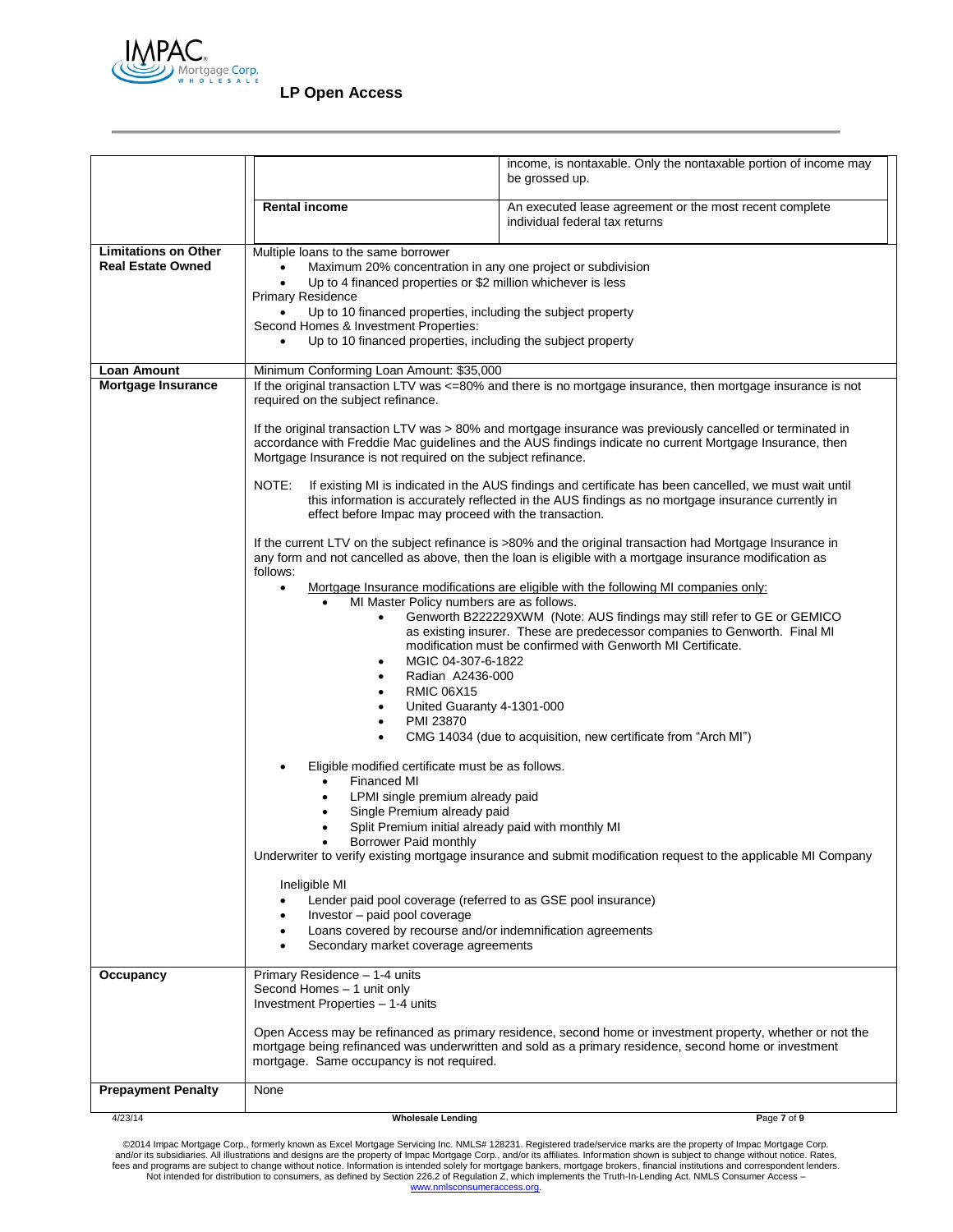

|                                                         |                                                                                                                                                                                                                                                                                                                                                                              | income, is nontaxable. Only the nontaxable portion of income may                                                                                                                                                                                                                                                                                                               |  |
|---------------------------------------------------------|------------------------------------------------------------------------------------------------------------------------------------------------------------------------------------------------------------------------------------------------------------------------------------------------------------------------------------------------------------------------------|--------------------------------------------------------------------------------------------------------------------------------------------------------------------------------------------------------------------------------------------------------------------------------------------------------------------------------------------------------------------------------|--|
|                                                         |                                                                                                                                                                                                                                                                                                                                                                              | be grossed up.                                                                                                                                                                                                                                                                                                                                                                 |  |
|                                                         | <b>Rental income</b>                                                                                                                                                                                                                                                                                                                                                         | An executed lease agreement or the most recent complete<br>individual federal tax returns                                                                                                                                                                                                                                                                                      |  |
| <b>Limitations on Other</b><br><b>Real Estate Owned</b> | Multiple loans to the same borrower<br>Maximum 20% concentration in any one project or subdivision<br>Up to 4 financed properties or \$2 million whichever is less<br><b>Primary Residence</b><br>Up to 10 financed properties, including the subject property<br>Second Homes & Investment Properties:<br>Up to 10 financed properties, including the subject property      |                                                                                                                                                                                                                                                                                                                                                                                |  |
| <b>Loan Amount</b>                                      | Minimum Conforming Loan Amount: \$35,000                                                                                                                                                                                                                                                                                                                                     |                                                                                                                                                                                                                                                                                                                                                                                |  |
| Mortgage Insurance                                      | If the original transaction LTV was <=80% and there is no mortgage insurance, then mortgage insurance is not<br>required on the subject refinance.<br>If the original transaction LTV was > 80% and mortgage insurance was previously cancelled or terminated in<br>accordance with Freddie Mac guidelines and the AUS findings indicate no current Mortgage Insurance, then |                                                                                                                                                                                                                                                                                                                                                                                |  |
|                                                         | Mortgage Insurance is not required on the subject refinance.                                                                                                                                                                                                                                                                                                                 |                                                                                                                                                                                                                                                                                                                                                                                |  |
|                                                         | NOTE:<br>effect before Impac may proceed with the transaction.                                                                                                                                                                                                                                                                                                               | If existing MI is indicated in the AUS findings and certificate has been cancelled, we must wait until<br>this information is accurately reflected in the AUS findings as no mortgage insurance currently in                                                                                                                                                                   |  |
|                                                         | follows:                                                                                                                                                                                                                                                                                                                                                                     | If the current LTV on the subject refinance is >80% and the original transaction had Mortgage Insurance in<br>any form and not cancelled as above, then the loan is eligible with a mortgage insurance modification as                                                                                                                                                         |  |
|                                                         | $\bullet$<br>MI Master Policy numbers are as follows.<br>٠<br>MGIC 04-307-6-1822<br>٠<br>Radian A2436-000<br>٠<br><b>RMIC 06X15</b><br>٠<br>United Guaranty 4-1301-000<br>٠<br>PMI 23870<br>$\bullet$<br>$\bullet$                                                                                                                                                           | Mortgage Insurance modifications are eligible with the following MI companies only:<br>Genworth B222229XWM (Note: AUS findings may still refer to GE or GEMICO<br>as existing insurer. These are predecessor companies to Genworth. Final MI<br>modification must be confirmed with Genworth MI Certificate.<br>CMG 14034 (due to acquisition, new certificate from "Arch MI") |  |
|                                                         | Eligible modified certificate must be as follows.<br><b>Financed MI</b><br>LPMI single premium already paid<br>Single Premium already paid<br>Split Premium initial already paid with monthly MI                                                                                                                                                                             |                                                                                                                                                                                                                                                                                                                                                                                |  |
|                                                         | Borrower Paid monthly<br>Ineligible MI                                                                                                                                                                                                                                                                                                                                       | Underwriter to verify existing mortgage insurance and submit modification request to the applicable MI Company                                                                                                                                                                                                                                                                 |  |
|                                                         | Lender paid pool coverage (referred to as GSE pool insurance)<br>Investor - paid pool coverage<br>Loans covered by recourse and/or indemnification agreements<br>Secondary market coverage agreements                                                                                                                                                                        |                                                                                                                                                                                                                                                                                                                                                                                |  |
| Occupancy                                               | Primary Residence - 1-4 units<br>Second Homes - 1 unit only<br>Investment Properties - 1-4 units                                                                                                                                                                                                                                                                             |                                                                                                                                                                                                                                                                                                                                                                                |  |
|                                                         | mortgage. Same occupancy is not required.                                                                                                                                                                                                                                                                                                                                    | Open Access may be refinanced as primary residence, second home or investment property, whether or not the<br>mortgage being refinanced was underwritten and sold as a primary residence, second home or investment                                                                                                                                                            |  |
| <b>Prepayment Penalty</b>                               | None                                                                                                                                                                                                                                                                                                                                                                         |                                                                                                                                                                                                                                                                                                                                                                                |  |
| 4/23/14                                                 | <b>Wholesale Lending</b>                                                                                                                                                                                                                                                                                                                                                     | Page 7 of 9                                                                                                                                                                                                                                                                                                                                                                    |  |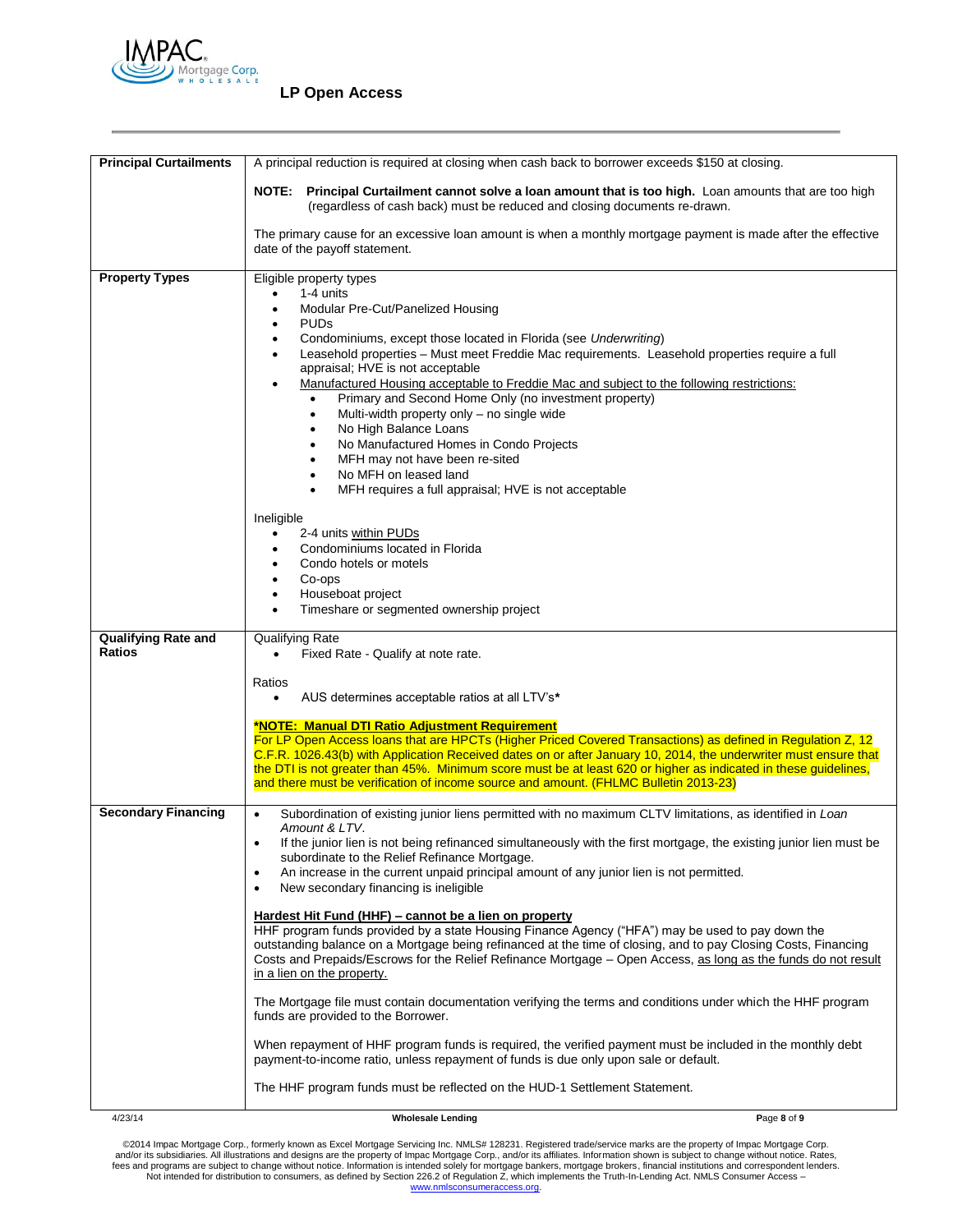

| <b>Principal Curtailments</b>               | A principal reduction is required at closing when cash back to borrower exceeds \$150 at closing.                                                                                                                                   |  |
|---------------------------------------------|-------------------------------------------------------------------------------------------------------------------------------------------------------------------------------------------------------------------------------------|--|
|                                             | NOTE: Principal Curtailment cannot solve a loan amount that is too high. Loan amounts that are too high<br>(regardless of cash back) must be reduced and closing documents re-drawn.                                                |  |
|                                             | The primary cause for an excessive loan amount is when a monthly mortgage payment is made after the effective<br>date of the payoff statement.                                                                                      |  |
| <b>Property Types</b>                       | Eligible property types                                                                                                                                                                                                             |  |
|                                             | 1-4 units                                                                                                                                                                                                                           |  |
|                                             | Modular Pre-Cut/Panelized Housing<br>$\bullet$<br><b>PUDs</b><br>$\bullet$                                                                                                                                                          |  |
|                                             | Condominiums, except those located in Florida (see Underwriting)<br>$\bullet$                                                                                                                                                       |  |
|                                             | Leasehold properties - Must meet Freddie Mac requirements. Leasehold properties require a full<br>$\bullet$                                                                                                                         |  |
|                                             | appraisal; HVE is not acceptable<br>Manufactured Housing acceptable to Freddie Mac and subject to the following restrictions:                                                                                                       |  |
|                                             | Primary and Second Home Only (no investment property)                                                                                                                                                                               |  |
|                                             | Multi-width property only - no single wide<br>$\bullet$                                                                                                                                                                             |  |
|                                             | No High Balance Loans<br>٠<br>No Manufactured Homes in Condo Projects<br>٠                                                                                                                                                          |  |
|                                             | MFH may not have been re-sited<br>٠                                                                                                                                                                                                 |  |
|                                             | No MFH on leased land<br>٠                                                                                                                                                                                                          |  |
|                                             | MFH requires a full appraisal; HVE is not acceptable                                                                                                                                                                                |  |
|                                             | Ineligible                                                                                                                                                                                                                          |  |
|                                             | 2-4 units within PUDs                                                                                                                                                                                                               |  |
|                                             | Condominiums located in Florida<br>٠<br>Condo hotels or motels<br>$\bullet$                                                                                                                                                         |  |
|                                             | Co-ops<br>$\bullet$                                                                                                                                                                                                                 |  |
|                                             | Houseboat project<br>$\bullet$                                                                                                                                                                                                      |  |
|                                             | Timeshare or segmented ownership project<br>٠                                                                                                                                                                                       |  |
| <b>Qualifying Rate and</b><br><b>Ratios</b> | Qualifying Rate<br>Fixed Rate - Qualify at note rate.                                                                                                                                                                               |  |
|                                             | Ratios<br>AUS determines acceptable ratios at all LTV's*<br>$\bullet$                                                                                                                                                               |  |
|                                             | *NOTE: Manual DTI Ratio Adjustment Requirement                                                                                                                                                                                      |  |
|                                             | For LP Open Access loans that are HPCTs (Higher Priced Covered Transactions) as defined in Regulation Z, 12                                                                                                                         |  |
|                                             | C.F.R. 1026.43(b) with Application Received dates on or after January 10, 2014, the underwriter must ensure that<br>the DTI is not greater than 45%. Minimum score must be at least 620 or higher as indicated in these guidelines, |  |
|                                             | and there must be verification of income source and amount. (FHLMC Bulletin 2013-23)                                                                                                                                                |  |
| <b>Secondary Financing</b>                  | Subordination of existing junior liens permitted with no maximum CLTV limitations, as identified in Loan<br>$\bullet$                                                                                                               |  |
|                                             | Amount & LTV.                                                                                                                                                                                                                       |  |
|                                             | If the junior lien is not being refinanced simultaneously with the first mortgage, the existing junior lien must be<br>$\bullet$                                                                                                    |  |
|                                             | subordinate to the Relief Refinance Mortgage.<br>An increase in the current unpaid principal amount of any junior lien is not permitted.<br>٠                                                                                       |  |
|                                             | New secondary financing is ineligible<br>$\bullet$                                                                                                                                                                                  |  |
|                                             | Hardest Hit Fund (HHF) - cannot be a lien on property                                                                                                                                                                               |  |
|                                             | HHF program funds provided by a state Housing Finance Agency ("HFA") may be used to pay down the                                                                                                                                    |  |
|                                             | outstanding balance on a Mortgage being refinanced at the time of closing, and to pay Closing Costs, Financing                                                                                                                      |  |
|                                             | Costs and Prepaids/Escrows for the Relief Refinance Mortgage - Open Access, as long as the funds do not result<br>in a lien on the property.                                                                                        |  |
|                                             |                                                                                                                                                                                                                                     |  |
|                                             | The Mortgage file must contain documentation verifying the terms and conditions under which the HHF program<br>funds are provided to the Borrower.                                                                                  |  |
|                                             | When repayment of HHF program funds is required, the verified payment must be included in the monthly debt<br>payment-to-income ratio, unless repayment of funds is due only upon sale or default.                                  |  |
|                                             | The HHF program funds must be reflected on the HUD-1 Settlement Statement.                                                                                                                                                          |  |
| 4/23/14                                     | Page 8 of 9<br><b>Wholesale Lending</b>                                                                                                                                                                                             |  |